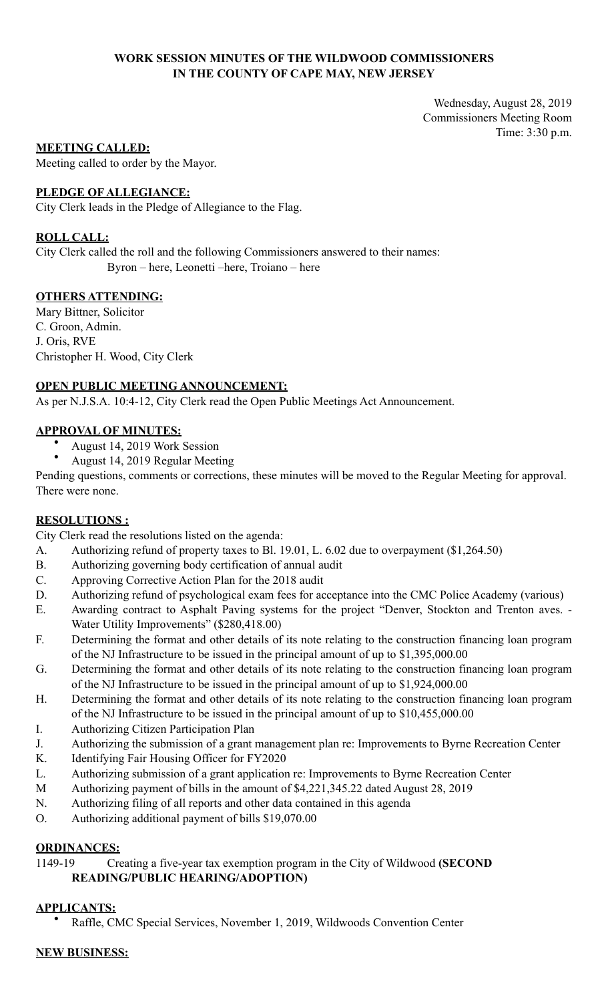# **WORK SESSION MINUTES OF THE WILDWOOD COMMISSIONERS IN THE COUNTY OF CAPE MAY, NEW JERSEY**

Wednesday, August 28, 2019 Commissioners Meeting Room Time: 3:30 p.m.

### **MEETING CALLED:**

Meeting called to order by the Mayor.

# **PLEDGE OF ALLEGIANCE:**

City Clerk leads in the Pledge of Allegiance to the Flag.

# **ROLL CALL:**

City Clerk called the roll and the following Commissioners answered to their names: Byron – here, Leonetti –here, Troiano – here

# **OTHERS ATTENDING:**

Mary Bittner, Solicitor C. Groon, Admin. J. Oris, RVE Christopher H. Wood, City Clerk

# **OPEN PUBLIC MEETING ANNOUNCEMENT:**

As per N.J.S.A. 10:4-12, City Clerk read the Open Public Meetings Act Announcement.

# **APPROVAL OF MINUTES:**

- August 14, 2019 Work Session
- August 14, 2019 Regular Meeting

Pending questions, comments or corrections, these minutes will be moved to the Regular Meeting for approval. There were none.

### **RESOLUTIONS :**

City Clerk read the resolutions listed on the agenda:

- A. Authorizing refund of property taxes to Bl. 19.01, L. 6.02 due to overpayment (\$1,264.50)
- B. Authorizing governing body certification of annual audit
- C. Approving Corrective Action Plan for the 2018 audit
- D. Authorizing refund of psychological exam fees for acceptance into the CMC Police Academy (various)
- E. Awarding contract to Asphalt Paving systems for the project "Denver, Stockton and Trenton aves. Water Utility Improvements" (\$280,418.00)
- F. Determining the format and other details of its note relating to the construction financing loan program of the NJ Infrastructure to be issued in the principal amount of up to \$1,395,000.00
- G. Determining the format and other details of its note relating to the construction financing loan program of the NJ Infrastructure to be issued in the principal amount of up to \$1,924,000.00
- H. Determining the format and other details of its note relating to the construction financing loan program of the NJ Infrastructure to be issued in the principal amount of up to \$10,455,000.00
- I. Authorizing Citizen Participation Plan
- J. Authorizing the submission of a grant management plan re: Improvements to Byrne Recreation Center
- K. Identifying Fair Housing Officer for FY2020
- L. Authorizing submission of a grant application re: Improvements to Byrne Recreation Center
- M Authorizing payment of bills in the amount of \$4,221,345.22 dated August 28, 2019
- N. Authorizing filing of all reports and other data contained in this agenda
- O. Authorizing additional payment of bills \$19,070.00

# **ORDINANCES:**

1149-19 Creating a five-year tax exemption program in the City of Wildwood **(SECOND READING/PUBLIC HEARING/ADOPTION)** 

### **APPLICANTS:**

• Raffle, CMC Special Services, November 1, 2019, Wildwoods Convention Center

### **NEW BUSINESS:**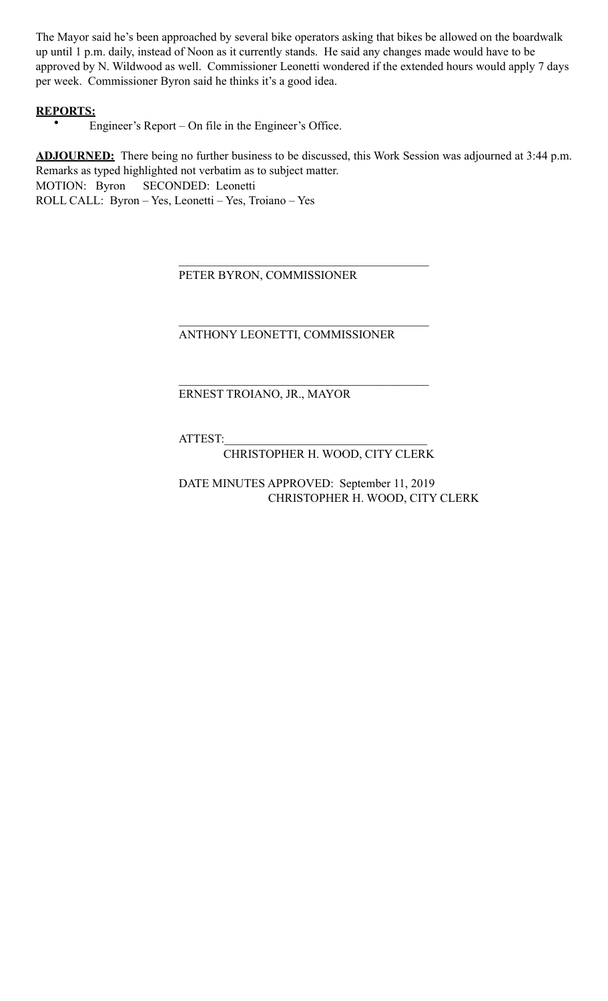The Mayor said he's been approached by several bike operators asking that bikes be allowed on the boardwalk up until 1 p.m. daily, instead of Noon as it currently stands. He said any changes made would have to be approved by N. Wildwood as well. Commissioner Leonetti wondered if the extended hours would apply 7 days per week. Commissioner Byron said he thinks it's a good idea.

# **REPORTS:**

• Engineer's Report – On file in the Engineer's Office.

**ADJOURNED:** There being no further business to be discussed, this Work Session was adjourned at 3:44 p.m. Remarks as typed highlighted not verbatim as to subject matter. MOTION: Byron SECONDED: Leonetti ROLL CALL: Byron – Yes, Leonetti – Yes, Troiano – Yes

PETER BYRON, COMMISSIONER

 $\mathcal{L}_\mathcal{L} = \mathcal{L}_\mathcal{L} = \mathcal{L}_\mathcal{L} = \mathcal{L}_\mathcal{L} = \mathcal{L}_\mathcal{L} = \mathcal{L}_\mathcal{L} = \mathcal{L}_\mathcal{L} = \mathcal{L}_\mathcal{L} = \mathcal{L}_\mathcal{L} = \mathcal{L}_\mathcal{L} = \mathcal{L}_\mathcal{L} = \mathcal{L}_\mathcal{L} = \mathcal{L}_\mathcal{L} = \mathcal{L}_\mathcal{L} = \mathcal{L}_\mathcal{L} = \mathcal{L}_\mathcal{L} = \mathcal{L}_\mathcal{L}$ 

 $\mathcal{L}_\mathcal{L} = \mathcal{L}_\mathcal{L} = \mathcal{L}_\mathcal{L} = \mathcal{L}_\mathcal{L} = \mathcal{L}_\mathcal{L} = \mathcal{L}_\mathcal{L} = \mathcal{L}_\mathcal{L} = \mathcal{L}_\mathcal{L} = \mathcal{L}_\mathcal{L} = \mathcal{L}_\mathcal{L} = \mathcal{L}_\mathcal{L} = \mathcal{L}_\mathcal{L} = \mathcal{L}_\mathcal{L} = \mathcal{L}_\mathcal{L} = \mathcal{L}_\mathcal{L} = \mathcal{L}_\mathcal{L} = \mathcal{L}_\mathcal{L}$ 

 $\mathcal{L}_\mathcal{L} = \mathcal{L}_\mathcal{L} = \mathcal{L}_\mathcal{L} = \mathcal{L}_\mathcal{L} = \mathcal{L}_\mathcal{L} = \mathcal{L}_\mathcal{L} = \mathcal{L}_\mathcal{L} = \mathcal{L}_\mathcal{L} = \mathcal{L}_\mathcal{L} = \mathcal{L}_\mathcal{L} = \mathcal{L}_\mathcal{L} = \mathcal{L}_\mathcal{L} = \mathcal{L}_\mathcal{L} = \mathcal{L}_\mathcal{L} = \mathcal{L}_\mathcal{L} = \mathcal{L}_\mathcal{L} = \mathcal{L}_\mathcal{L}$ 

ANTHONY LEONETTI, COMMISSIONER

# ERNEST TROIANO, JR., MAYOR

ATTEST:\_\_\_\_\_\_\_\_\_\_\_\_\_\_\_\_\_\_\_\_\_\_\_\_\_\_\_\_\_\_\_\_\_\_

CHRISTOPHER H. WOOD, CITY CLERK

 DATE MINUTES APPROVED: September 11, 2019 CHRISTOPHER H. WOOD, CITY CLERK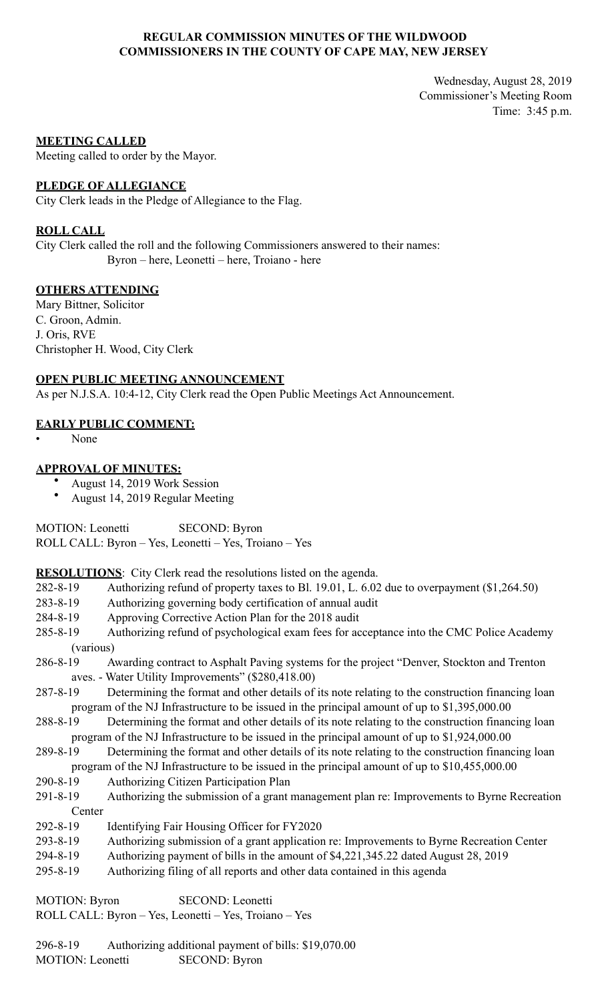# **REGULAR COMMISSION MINUTES OF THE WILDWOOD COMMISSIONERS IN THE COUNTY OF CAPE MAY, NEW JERSEY**

Wednesday, August 28, 2019 Commissioner's Meeting Room Time: 3:45 p.m.

### **MEETING CALLED**

Meeting called to order by the Mayor.

### **PLEDGE OF ALLEGIANCE**

City Clerk leads in the Pledge of Allegiance to the Flag.

# **ROLL CALL**

City Clerk called the roll and the following Commissioners answered to their names: Byron – here, Leonetti – here, Troiano - here

# **OTHERS ATTENDING**

Mary Bittner, Solicitor C. Groon, Admin. J. Oris, RVE Christopher H. Wood, City Clerk

# **OPEN PUBLIC MEETING ANNOUNCEMENT**

As per N.J.S.A. 10:4-12, City Clerk read the Open Public Meetings Act Announcement.

# **EARLY PUBLIC COMMENT:**

• None

# **APPROVAL OF MINUTES:**

- August 14, 2019 Work Session
- August 14, 2019 Regular Meeting

MOTION: Leonetti SECOND: Byron ROLL CALL: Byron – Yes, Leonetti – Yes, Troiano – Yes

**RESOLUTIONS**: City Clerk read the resolutions listed on the agenda.

- 282-8-19 Authorizing refund of property taxes to Bl. 19.01, L. 6.02 due to overpayment (\$1,264.50)
- 283-8-19 Authorizing governing body certification of annual audit
- 284-8-19 Approving Corrective Action Plan for the 2018 audit
- 285-8-19 Authorizing refund of psychological exam fees for acceptance into the CMC Police Academy (various)
- 286-8-19 Awarding contract to Asphalt Paving systems for the project "Denver, Stockton and Trenton aves. - Water Utility Improvements" (\$280,418.00)
- 287-8-19 Determining the format and other details of its note relating to the construction financing loan program of the NJ Infrastructure to be issued in the principal amount of up to \$1,395,000.00
- 288-8-19 Determining the format and other details of its note relating to the construction financing loan program of the NJ Infrastructure to be issued in the principal amount of up to \$1,924,000.00
- 289-8-19 Determining the format and other details of its note relating to the construction financing loan program of the NJ Infrastructure to be issued in the principal amount of up to \$10,455,000.00
- 290-8-19 Authorizing Citizen Participation Plan
- 291-8-19 Authorizing the submission of a grant management plan re: Improvements to Byrne Recreation Center
- 292-8-19 Identifying Fair Housing Officer for FY2020
- 293-8-19 Authorizing submission of a grant application re: Improvements to Byrne Recreation Center
- 294-8-19 Authorizing payment of bills in the amount of \$4,221,345.22 dated August 28, 2019
- 295-8-19 Authorizing filing of all reports and other data contained in this agenda

| <b>MOTION: Byron</b> | SECOND: Leonetti                                      |
|----------------------|-------------------------------------------------------|
|                      | ROLL CALL: Byron – Yes, Leonetti – Yes, Troiano – Yes |

296-8-19 Authorizing additional payment of bills: \$19,070.00 MOTION: Leonetti SECOND: Byron